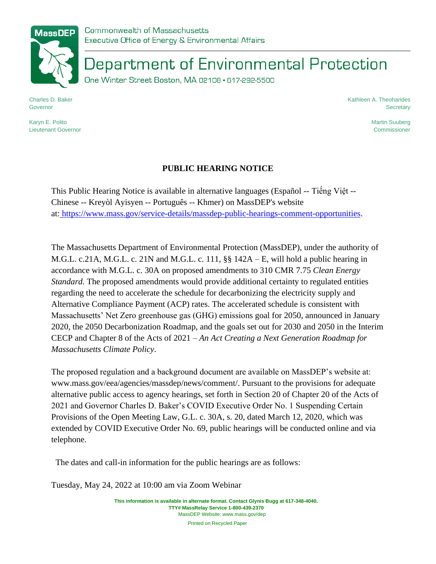Commonwealth of Massachusetts Executive Office of Energy & Environmental Affairs

Department of Environmental Protection

One Winter Street Boston, MA 02108 · 617-292-5500

Charles D. Baker Governor

Karyn E. Polito Lieutenant Governor Kathleen A. Theoharides **Secretary** 

> Martin Suuberg Commissioner

## **PUBLIC HEARING NOTICE**

This Public Hearing Notice is available in alternative languages (Español -- Tiếng Việt -- Chinese -- Kreyòl Ayisyen -- Português -- Khmer) on MassDEP's website at: [https://www.mass.gov/service-details/massdep-public-hearings-comment-opportunities.](https://www.mass.gov/service-details/massdep-public-hearings-comment-opportunities)

The Massachusetts Department of Environmental Protection (MassDEP), under the authority of M.G.L. c.21A, M.G.L. c. 21N and M.G.L. c. 111, §§ 142A – E, will hold a public hearing in accordance with M.G.L. c. 30A on proposed amendments to 310 CMR 7.75 *Clean Energy Standard.* The proposed amendments would provide additional certainty to regulated entities regarding the need to accelerate the schedule for decarbonizing the electricity supply and Alternative Compliance Payment (ACP) rates. The accelerated schedule is consistent with Massachusetts' Net Zero greenhouse gas (GHG) emissions goal for 2050, announced in January 2020, the 2050 Decarbonization Roadmap, and the goals set out for 2030 and 2050 in the Interim CECP and Chapter 8 of the Acts of 2021 – *An Act Creating a Next Generation Roadmap for Massachusetts Climate Policy*.

The proposed regulation and a background document are available on MassDEP's website at: [www.mass.gov/eea/agencies/massdep/news/comment/.](http://www.mass.gov/eea/agencies/massdep/news/comment/) Pursuant to the provisions for adequate alternative public access to agency hearings, set forth in Section 20 of Chapter 20 of the Acts of 2021 and Governor Charles D. Baker's COVID Executive Order No. 1 Suspending Certain Provisions of the Open Meeting Law, G.L. c. 30A, s. 20, dated March 12, 2020, which was extended by COVID Executive Order No. 69, public hearings will be conducted online and via telephone.

The dates and call-in information for the public hearings are as follows:

Tuesday, May 24, 2022 at 10:00 am via Zoom Webinar